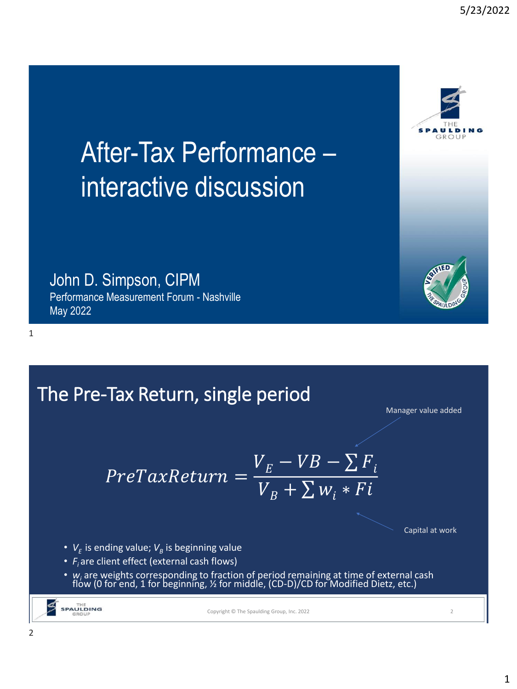# After-Tax Performance – interactive discussion

John D. Simpson, CIPM

Performance Measurement Forum - Nashville May 2022

1

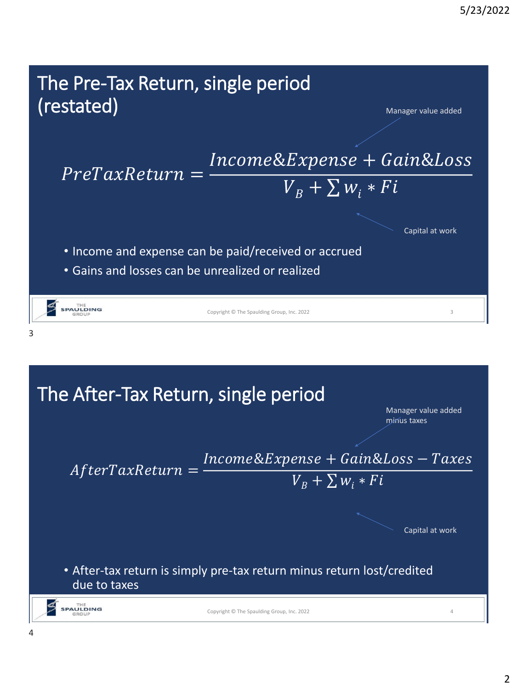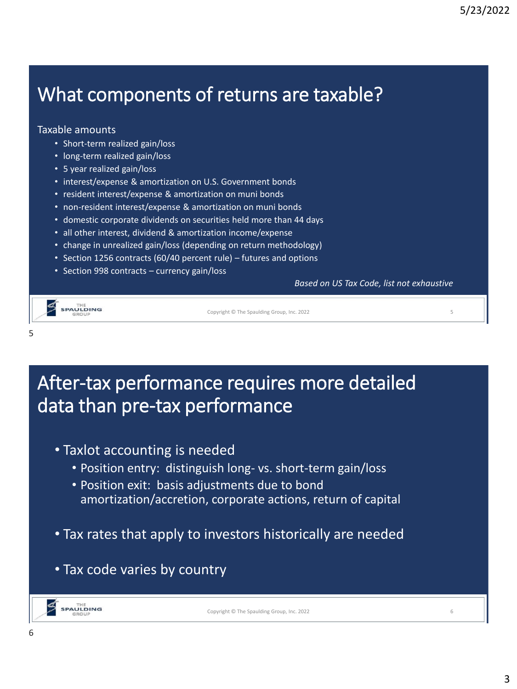### What components of returns are taxable?

#### Taxable amounts

- Short-term realized gain/loss
- long-term realized gain/loss
- 5 year realized gain/loss
- interest/expense & amortization on U.S. Government bonds
- resident interest/expense & amortization on muni bonds
- non-resident interest/expense & amortization on muni bonds
- domestic corporate dividends on securities held more than 44 days
- all other interest, dividend & amortization income/expense
- change in unrealized gain/loss (depending on return methodology)
- Section 1256 contracts (60/40 percent rule) futures and options
- Section 998 contracts currency gain/loss

*Based on US Tax Code, list not exhaustive*



5

Copyright © The Spaulding Group, Inc. 2022 5

#### After-tax performance requires more detailed data than pre-tax performance

- Taxlot accounting is needed
	- Position entry: distinguish long- vs. short-term gain/loss
	- Position exit: basis adjustments due to bond amortization/accretion, corporate actions, return of capital
- Tax rates that apply to investors historically are needed
- Tax code varies by country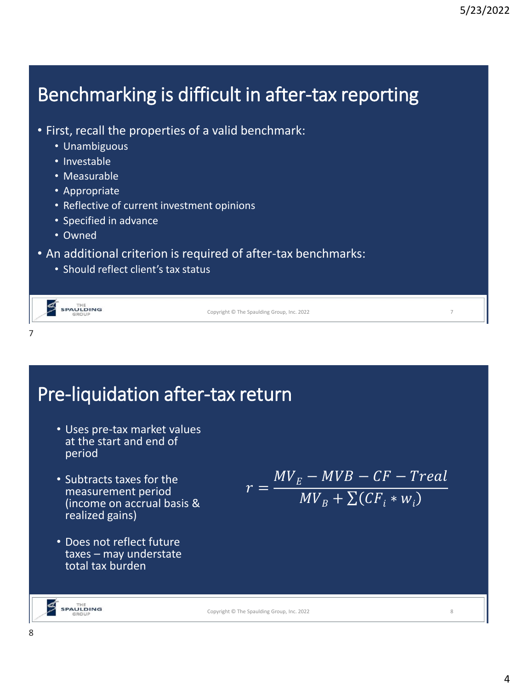### Benchmarking is difficult in after-tax reporting

- First, recall the properties of a valid benchmark:
	- Unambiguous
	- Investable
	- Measurable
	- Appropriate
	- Reflective of current investment opinions
	- Specified in advance
	- Owned
- An additional criterion is required of after-tax benchmarks:
	- Should reflect client's tax status

| SPAULDING | Copyright © The Spaulding Group, Inc. 2022 |  |
|-----------|--------------------------------------------|--|
|           |                                            |  |

### Pre-liquidation after-tax return

- Uses pre-tax market values at the start and end of period
- Subtracts taxes for the measurement period (income on accrual basis & realized gains)
- Does not reflect future taxes – may understate total tax burden

$$
r = \frac{MV_E - MVB - CF - Treal}{MV_B + \sum (CF_i * w_i)}
$$

Copyright © The Spaulding Group, Inc. 2022 8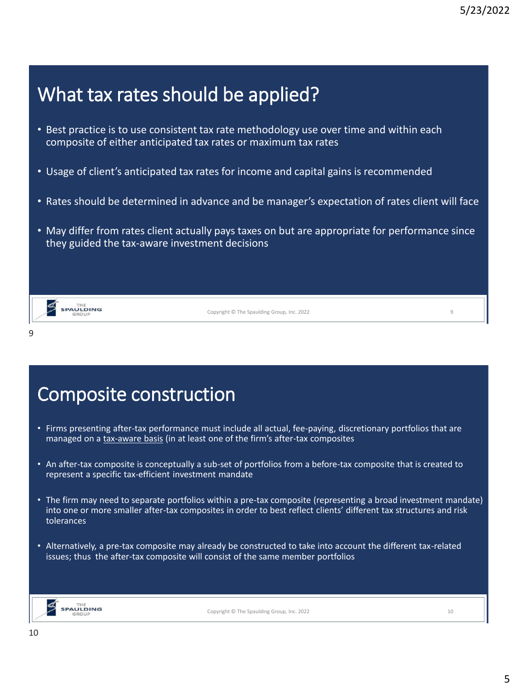### What tax rates should be applied?

- Best practice is to use consistent tax rate methodology use over time and within each composite of either anticipated tax rates or maximum tax rates
- Usage of client's anticipated tax rates for income and capital gains is recommended
- Rates should be determined in advance and be manager's expectation of rates client will face
- May differ from rates client actually pays taxes on but are appropriate for performance since they guided the tax-aware investment decisions

Copyright © The Spaulding Group, Inc. 2022 9

**SPAULDING** 

9

Composite construction

- Firms presenting after-tax performance must include all actual, fee-paying, discretionary portfolios that are managed on a tax-aware basis (in at least one of the firm's after-tax composites
- An after-tax composite is conceptually a sub-set of portfolios from a before-tax composite that is created to represent a specific tax-efficient investment mandate
- The firm may need to separate portfolios within a pre-tax composite (representing a broad investment mandate) into one or more smaller after-tax composites in order to best reflect clients' different tax structures and risk tolerances
- Alternatively, a pre-tax composite may already be constructed to take into account the different tax-related issues; thus the after-tax composite will consist of the same member portfolios



Copyright © The Spaulding Group, Inc. 2022 10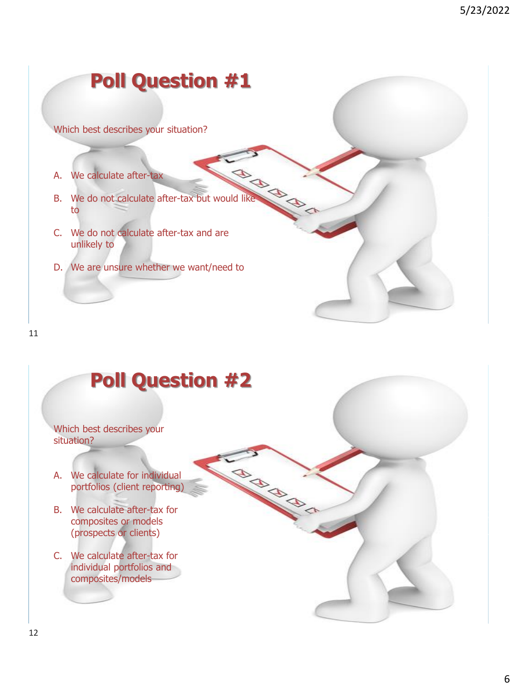### **Poll Question #1**

Which best describes your situation?

- A. We calculate after-tax
- A. We calculate after-tax<br>B. We do not calculate after-tax but would like to
- C. We do not calculate after-tax and are unlikely to
- D. We are unsure whether we want/need to

#### 11

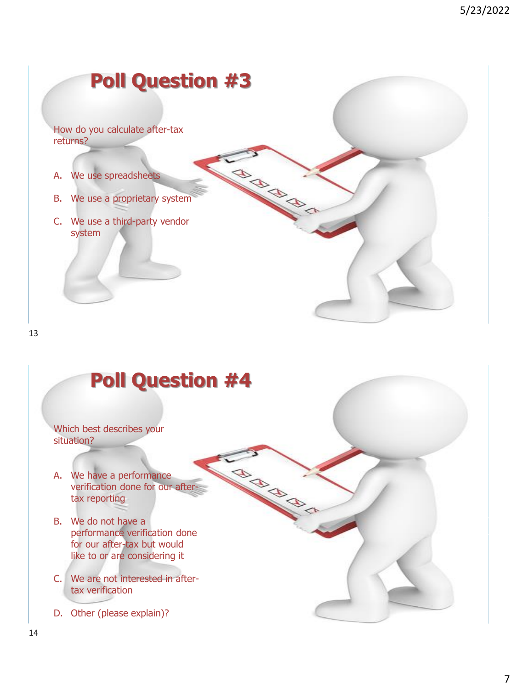## **Poll Question #3**  How do you calculate after-tax returns? N BRANC A. We use spreadsheets B. We use a proprietary system C. We use a third-party vendor system

13

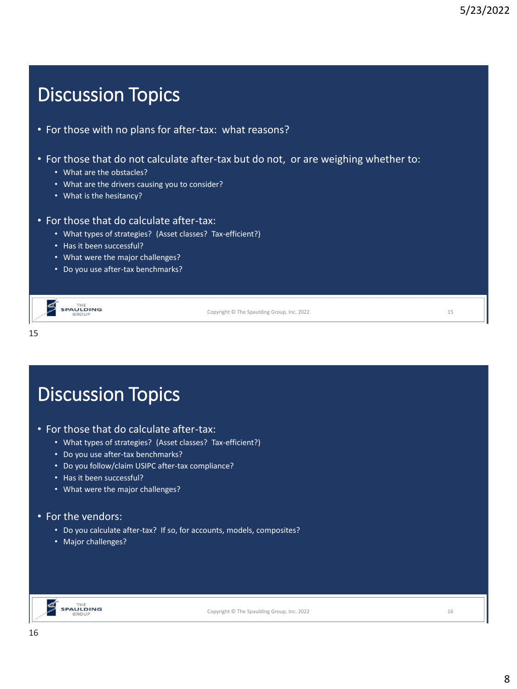### Discussion Topics

- For those with no plans for after-tax: what reasons?
- For those that do not calculate after-tax but do not, or are weighing whether to:
	- What are the obstacles?
	- What are the drivers causing you to consider?
	- What is the hesitancy?

#### • For those that do calculate after-tax:

- What types of strategies? (Asset classes? Tax-efficient?)
- Has it been successful?
- What were the major challenges?
- Do you use after-tax benchmarks?

| <b>SPAULDING</b> |
|------------------|
|                  |

15

Copyright © The Spaulding Group, Inc. 2022 15

## Discussion Topics

- For those that do calculate after-tax:
	- What types of strategies? (Asset classes? Tax-efficient?)
	- Do you use after-tax benchmarks?
	- Do you follow/claim USIPC after-tax compliance?
	- Has it been successful?
	- What were the major challenges?

#### • For the vendors:

- Do you calculate after-tax? If so, for accounts, models, composites?
- Major challenges?



Copyright © The Spaulding Group, Inc. 2022 16